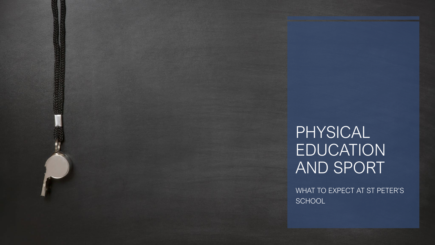## PHYSICAL EDUCATION AND SPORT

WHAT TO EXPECT AT ST PETER'S **SCHOOL**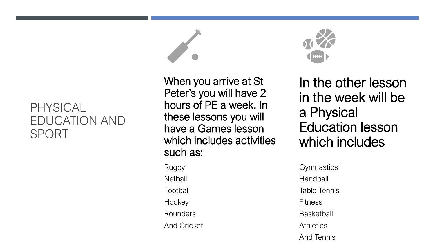## PHYSICAL EDUCATION AND SPORT

When you arrive at St Peter's you will have 2 hours of PE a week. In these lessons you will have a Games lesson which includes activities such as:

Rugby **Netball** Football **Hockey** Rounders And Cricket



In the other lesson in the week will be a Physical Education lesson which includes

**Gymnastics** Handball Table Tennis **Fitness Basketball Athletics** And Tennis